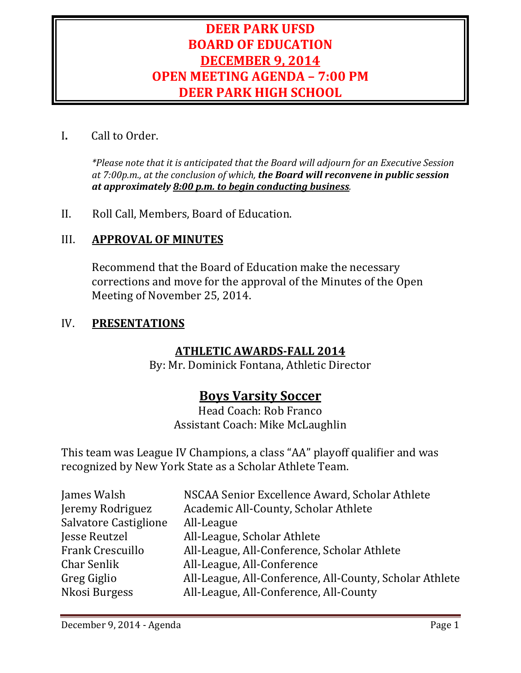# **DEER PARK UFSD BOARD OF EDUCATION DECEMBER 9, 2014 OPEN MEETING AGENDA – 7:00 PM DEER PARK HIGH SCHOOL**

## I**.** Call to Order.

*\*Please note that it is anticipated that the Board will adjourn for an Executive Session at 7:00p.m., at the conclusion of which, the Board will reconvene in public session at approximately 8:00 p.m. to begin conducting business.*

II. Roll Call, Members, Board of Education.

## III. **APPROVAL OF MINUTES**

Recommend that the Board of Education make the necessary corrections and move for the approval of the Minutes of the Open Meeting of November 25, 2014.

### IV. **PRESENTATIONS**

## **ATHLETIC AWARDS-FALL 2014**

By: Mr. Dominick Fontana, Athletic Director

# **Boys Varsity Soccer**

Head Coach: Rob Franco Assistant Coach: Mike McLaughlin

This team was League IV Champions, a class "AA" playoff qualifier and was recognized by New York State as a Scholar Athlete Team.

| NSCAA Senior Excellence Award, Scholar Athlete          |
|---------------------------------------------------------|
| Academic All-County, Scholar Athlete                    |
| All-League                                              |
| All-League, Scholar Athlete                             |
| All-League, All-Conference, Scholar Athlete             |
| All-League, All-Conference                              |
| All-League, All-Conference, All-County, Scholar Athlete |
| All-League, All-Conference, All-County                  |
|                                                         |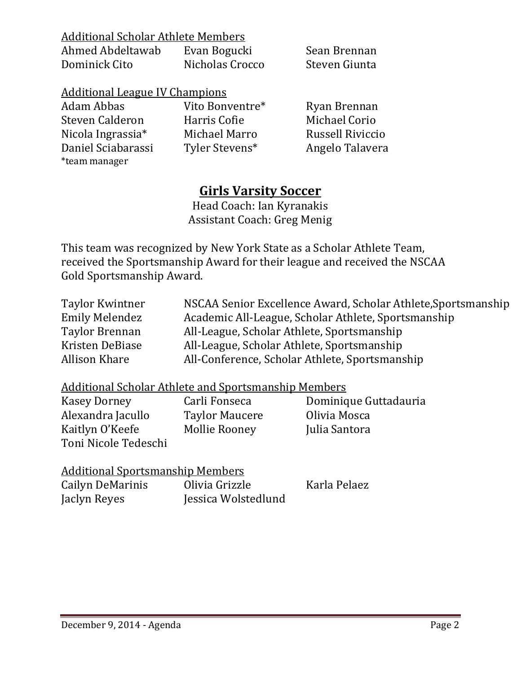| Additional Scholar Athlete Members |  |  |
|------------------------------------|--|--|
|                                    |  |  |

| Ahmed Abdeltawab | Evan Bogucki    | Sean Brennan  |
|------------------|-----------------|---------------|
| Dominick Cito    | Nicholas Crocco | Steven Giunta |

| <b>Additional League IV Champions</b> |                 |                         |
|---------------------------------------|-----------------|-------------------------|
| Adam Abbas                            | Vito Bonventre* | Ryan Brennan            |
| Steven Calderon                       | Harris Cofie    | Michael Corio           |
| Nicola Ingrassia*                     | Michael Marro   | <b>Russell Riviccio</b> |
| Daniel Sciabarassi                    | Tyler Stevens*  | Angelo Talavera         |
| *team manager                         |                 |                         |

# **Girls Varsity Soccer**

Head Coach: Ian Kyranakis Assistant Coach: Greg Menig

This team was recognized by New York State as a Scholar Athlete Team, received the Sportsmanship Award for their league and received the NSCAA Gold Sportsmanship Award.

| NSCAA Senior Excellence Award, Scholar Athlete, Sportsmanship |
|---------------------------------------------------------------|
| Academic All-League, Scholar Athlete, Sportsmanship           |
| All-League, Scholar Athlete, Sportsmanship                    |
| All-League, Scholar Athlete, Sportsmanship                    |
| All-Conference, Scholar Athlete, Sportsmanship                |
|                                                               |

# Additional Scholar Athlete and Sportsmanship Members

Alexandra Jacullo Taylor Maucere Olivia Mosca Kaitlyn O'Keefe Toni Nicole Tedeschi

Carli Fonseca **Dominique Guttadauria**<br>Taylor Maucere **Divia Mosca** 

| <b>Additional Sportsmanship Members</b> |                     |              |
|-----------------------------------------|---------------------|--------------|
| Cailyn DeMarinis                        | Olivia Grizzle      | Karla Pelaez |
| Jaclyn Reyes                            | Jessica Wolstedlund |              |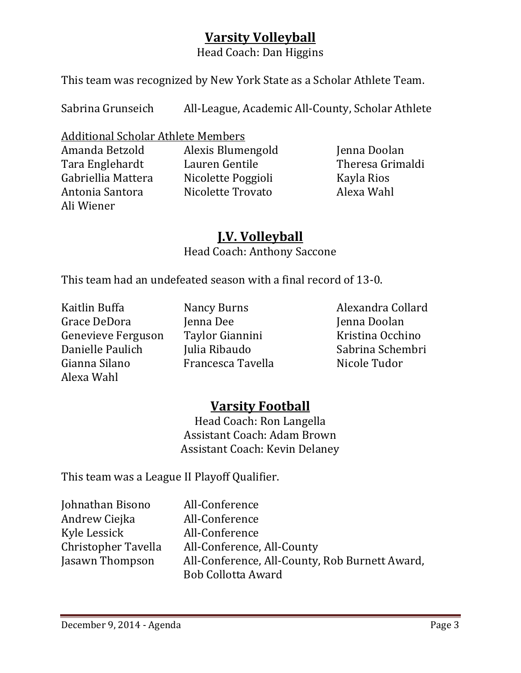# **Varsity Volleyball**

Head Coach: Dan Higgins

This team was recognized by New York State as a Scholar Athlete Team.

Sabrina Grunseich All-League, Academic All-County, Scholar Athlete

Additional Scholar Athlete Members

Tara Englehardt Lauren Gentile Fara Englehardt Lauren Gentile Fara Theresa Gr<br>Gabriellia Mattera Ricolette Poggioli Kayla Rios Gabriellia Mattera 1111 - Nicolette Poggioli 1121 - Kayla Rios<br>Antonia Santora 1121 - Nicolette Trovato 1122 - Alexa Wahl Ali Wiener

Amanda Betzold Alexis Blumengold Jenna Doolan Nicolette Trovato

# **J.V. Volleyball**

Head Coach: Anthony Saccone

This team had an undefeated season with a final record of 13-0.

Kaitlin Buffa Nancy Burns Alexandra Collard Grace DeDora Jenna Dee Jenna Doolan Genevieve Ferguson Taylor Gianni<br>Danielle Paulich Mulia Ribaudo Danielle Paulich Julia Ribaudo Sabrina Schembri Alexa Wahl

Francesca Tavella

# **Varsity Football**

Head Coach: Ron Langella Assistant Coach: Adam Brown Assistant Coach: Kevin Delaney

This team was a League II Playoff Qualifier.

| Johnathan Bisono    | All-Conference                                                              |
|---------------------|-----------------------------------------------------------------------------|
| Andrew Ciejka       | All-Conference                                                              |
| Kyle Lessick        | All-Conference                                                              |
| Christopher Tavella | All-Conference, All-County                                                  |
| Jasawn Thompson     | All-Conference, All-County, Rob Burnett Award,<br><b>Bob Collotta Award</b> |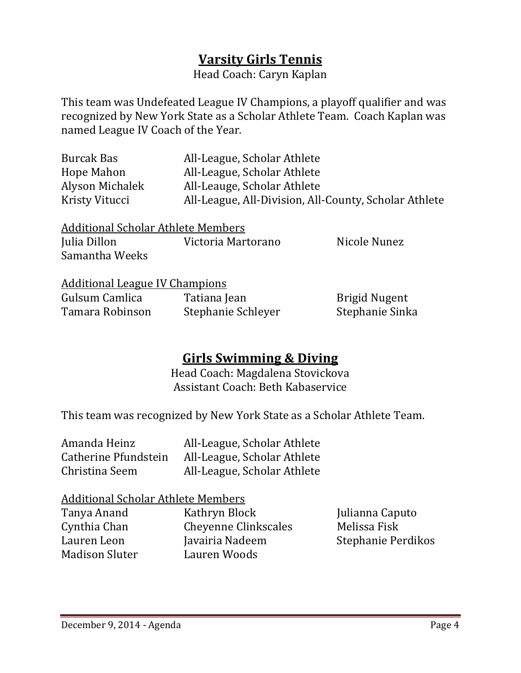# **Varsity Girls Tennis**

Head Coach: Caryn Kaplan

This team was Undefeated League IV Champions, a playoff qualifier and was recognized by New York State as a Scholar Athlete Team. Coach Kaplan was named League IV Coach of the Year.

| Burcak Bas      | All-League, Scholar Athlete                           |
|-----------------|-------------------------------------------------------|
| Hope Mahon      | All-League, Scholar Athlete                           |
| Alyson Michalek | All-Leauge, Scholar Athlete                           |
| Kristy Vitucci  | All-League, All-Division, All-County, Scholar Athlete |

| <b>Additional Scholar Athlete Members</b> |                    |              |
|-------------------------------------------|--------------------|--------------|
| Julia Dillon                              | Victoria Martorano | Nicole Nunez |
| Samantha Weeks                            |                    |              |

|  | <b>Additional League IV Champions</b> |  |
|--|---------------------------------------|--|
|  |                                       |  |

| Gulsum Camlica  | Tatiana Jean       | <b>Brigid Nugent</b> |
|-----------------|--------------------|----------------------|
| Tamara Robinson | Stephanie Schleyer | Stephanie Sinka      |

# **Girls Swimming & Diving**

Head Coach: Magdalena Stovickova Assistant Coach: Beth Kabaservice

This team was recognized by New York State as a Scholar Athlete Team.

| Amanda Heinz         | All-League, Scholar Athlete |
|----------------------|-----------------------------|
| Catherine Pfundstein | All-League, Scholar Athlete |
| Christina Seem       | All-League, Scholar Athlete |

# Additional Scholar Athlete Members<br>Tanya Anand Kathryn Block

Madison Sluter

Tanya Anand Kathryn Block Julianna Caputo<br>Cynthia Chan Cheyenne Clinkscales Melissa Fisk Cynthia Chan Cheyenne Clinkscales<br>Lauren Leon Iavairia Nadeem Javairia Nadeem Stephanie Perdikos<br>Lauren Woods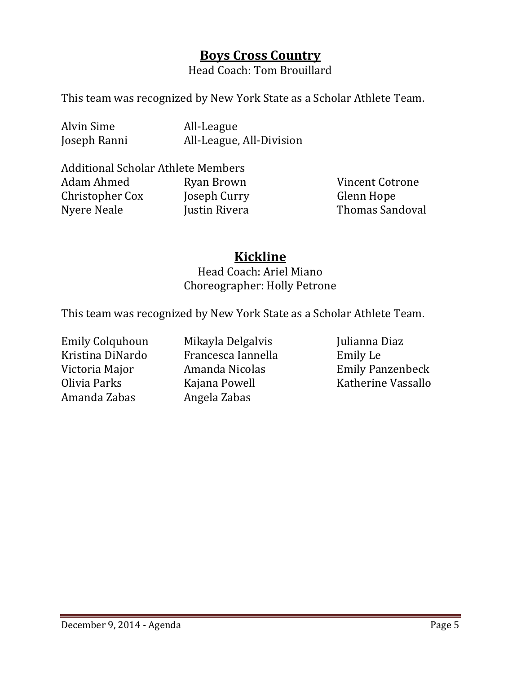# **Boys Cross Country**

Head Coach: Tom Brouillard

This team was recognized by New York State as a Scholar Athlete Team.

Alvin Sime and All-League<br>
Ioseph Ranni All-League,

All-League, All-Division

# Additional Scholar Athlete Members

Christopher Cox Joseph Curry<br>Nyere Neale Justin Rivera

Ryan Brown Vincent Cotrone<br>
Joseph Curry Glenn Hope Thomas Sandoval

# **Kickline**

Head Coach: Ariel Miano Choreographer: Holly Petrone

This team was recognized by New York State as a Scholar Athlete Team.

Emily Colquhoun Mikayla Delgalvis Julianna Diaz<br>Kristina DiNardo Francesca Iannella Bemily Le Kristina DiNardo Francesca Iannella<br>Victoria Major Amanda Nicolas Olivia Parks Kajana Powell Katherine Vassallo Angela Zabas

Victoria Major Amanda Nicolas Emily Panzenbeck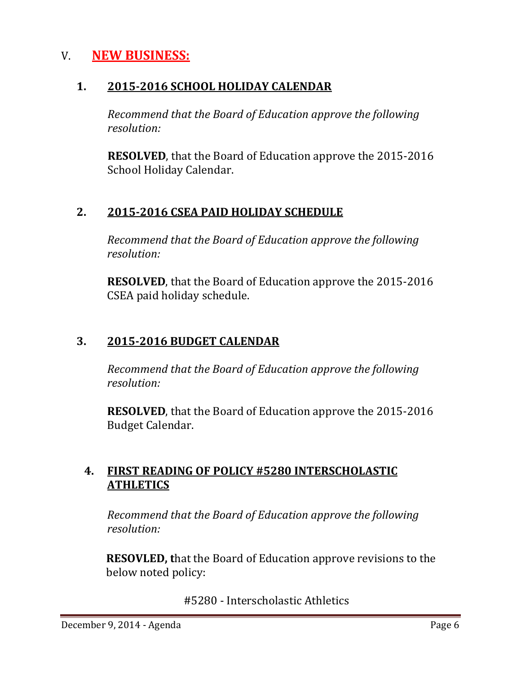# V. **NEW BUSINESS:**

## **1. 2015-2016 SCHOOL HOLIDAY CALENDAR**

 *Recommend that the Board of Education approve the following resolution:*

 **RESOLVED**, that the Board of Education approve the 2015-2016 School Holiday Calendar.

# **2. 2015-2016 CSEA PAID HOLIDAY SCHEDULE**

*Recommend that the Board of Education approve the following resolution:*

**RESOLVED**, that the Board of Education approve the 2015-2016 CSEA paid holiday schedule.

# **3. 2015-2016 BUDGET CALENDAR**

*Recommend that the Board of Education approve the following resolution:*

**RESOLVED**, that the Board of Education approve the 2015-2016 Budget Calendar.

# **4. FIRST READING OF POLICY #5280 INTERSCHOLASTIC ATHLETICS**

*Recommend that the Board of Education approve the following resolution:*

**RESOVLED, t**hat the Board of Education approve revisions to the below noted policy:

#5280 - Interscholastic Athletics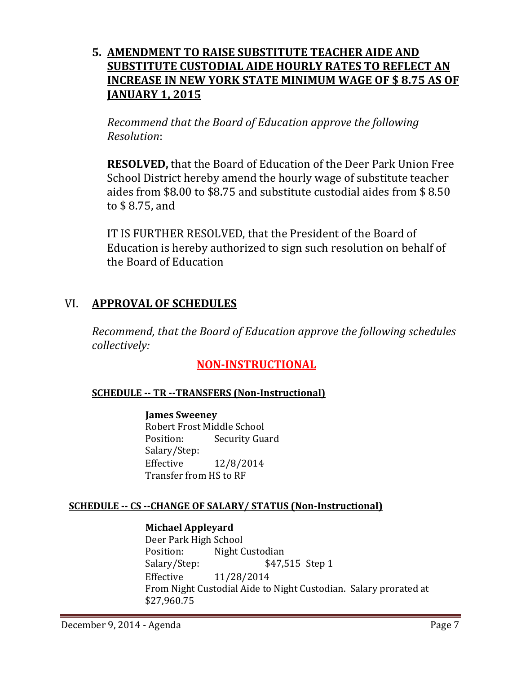## **5. AMENDMENT TO RAISE SUBSTITUTE TEACHER AIDE AND SUBSTITUTE CUSTODIAL AIDE HOURLY RATES TO REFLECT AN INCREASE IN NEW YORK STATE MINIMUM WAGE OF \$ 8.75 AS OF JANUARY 1, 2015**

*Recommend that the Board of Education approve the following Resolution*:

**RESOLVED,** that the Board of Education of the Deer Park Union Free School District hereby amend the hourly wage of substitute teacher aides from \$8.00 to \$8.75 and substitute custodial aides from \$ 8.50 to \$ 8.75, and

IT IS FURTHER RESOLVED, that the President of the Board of Education is hereby authorized to sign such resolution on behalf of the Board of Education

## VI. **APPROVAL OF SCHEDULES**

*Recommend, that the Board of Education approve the following schedules collectively:*

## **NON-INSTRUCTIONAL**

## **SCHEDULE -- TR --TRANSFERS (Non-Instructional)**

#### **James Sweeney**

Robert Frost Middle School<br>Position: Security Gua **Security Guard** Salary/Step: Effective 12/8/2014 Transfer from HS to RF

#### **SCHEDULE -- CS --CHANGE OF SALARY/ STATUS (Non-Instructional)**

#### **Michael Appleyard**

Deer Park High School<br>Position: Night C Position: Night Custodian<br>Salary/Step: \$47,5 \$47,515 Step 1 Effective 11/28/2014 From Night Custodial Aide to Night Custodian. Salary prorated at \$27,960.75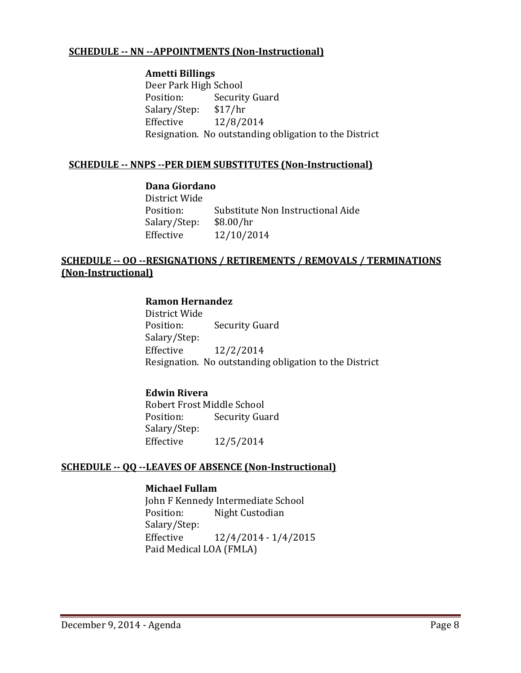#### **SCHEDULE -- NN --APPOINTMENTS (Non-Instructional)**

#### **Ametti Billings**

Deer Park High School<br>Position: Securit Security Guard<br>\$17/hr Salary/Step:<br>Effective Effective 12/8/2014 Resignation. No outstanding obligation to the District

#### **SCHEDULE -- NNPS --PER DIEM SUBSTITUTES (Non-Instructional)**

#### **Dana Giordano**

District Wide Substitute Non Instructional Aide<br>\$8.00/hr Salary/Step:<br>Effective Effective 12/10/2014

#### **SCHEDULE -- OO --RESIGNATIONS / RETIREMENTS / REMOVALS / TERMINATIONS (Non-Instructional)**

#### **Ramon Hernandez**

District Wide<br>Position: **Security Guard** Salary/Step: Effective 12/2/2014 Resignation. No outstanding obligation to the District

#### **Edwin Rivera**

Robert Frost Middle School<br>Position: Security Gua **Security Guard** Salary/Step:<br>Effective Effective 12/5/2014

#### **SCHEDULE -- QQ --LEAVES OF ABSENCE (Non-Instructional)**

#### **Michael Fullam**

John F Kennedy Intermediate School<br>Position: Night Custodian Night Custodian Salary/Step:<br>Effective Effective 12/4/2014 - 1/4/2015 Paid Medical LOA (FMLA)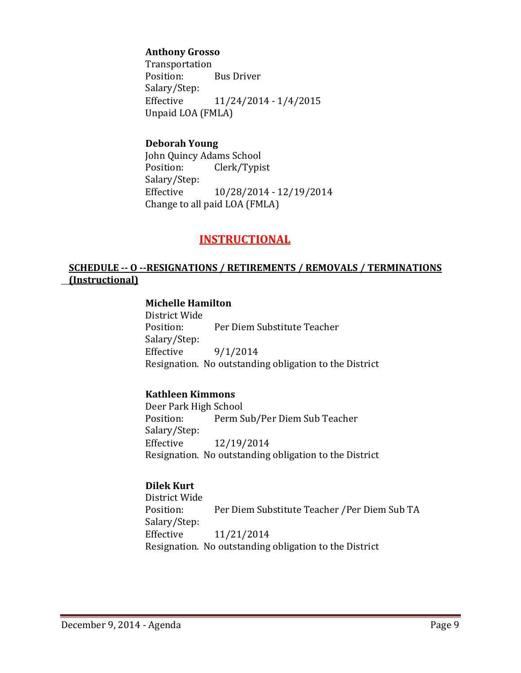#### **Anthony Grosso**

Transportation Position: Bus Driver Salary/Step:<br>Effective Effective 11/24/2014 - 1/4/2015 Unpaid LOA (FMLA)

#### **Deborah Young**

John Quincy Adams School<br>Position: Clerk/Typis Clerk/Typist Salary/Step:<br>Effective Effective 10/28/2014 - 12/19/2014 Change to all paid LOA (FMLA)

## **INSTRUCTIONAL**

#### **SCHEDULE -- O --RESIGNATIONS / RETIREMENTS / REMOVALS / TERMINATIONS (Instructional)**

#### **Michelle Hamilton**

District Wide Per Diem Substitute Teacher Salary/Step:<br>Effective  $9/1/2014$ Resignation. No outstanding obligation to the District

#### **Kathleen Kimmons**

Deer Park High School<br>Position: Perm S Perm Sub/Per Diem Sub Teacher Salary/Step: Effective 12/19/2014 Resignation. No outstanding obligation to the District

#### **Dilek Kurt**

District Wide Per Diem Substitute Teacher /Per Diem Sub TA Salary/Step:<br>Effective Effective 11/21/2014 Resignation. No outstanding obligation to the District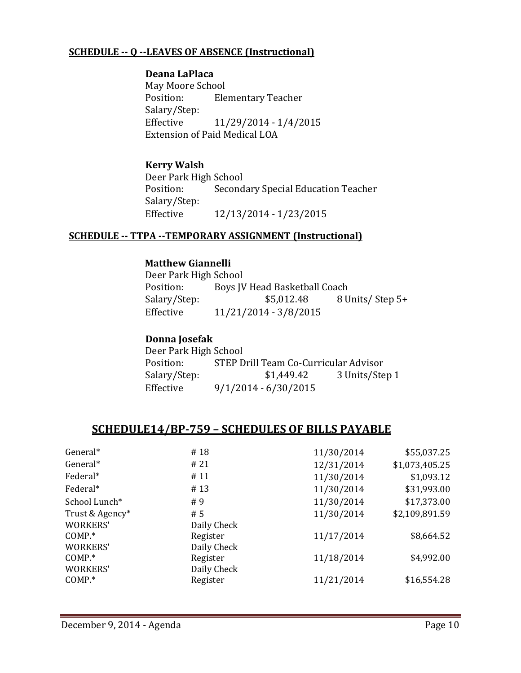#### **SCHEDULE -- Q --LEAVES OF ABSENCE (Instructional)**

#### **Deana LaPlaca**

May Moore School<br>Position: Ele **Elementary Teacher** Salary/Step:<br>Effective Effective 11/29/2014 - 1/4/2015 Extension of Paid Medical LOA

#### **Kerry Walsh**

Deer Park High School<br>Position: Second Secondary Special Education Teacher Salary/Step: Effective 12/13/2014 - 1/23/2015

#### **SCHEDULE -- TTPA --TEMPORARY ASSIGNMENT (Instructional)**

#### **Matthew Giannelli**

Deer Park High School<br>Position: Bovs IV Position: Boys JV Head Basketball Coach<br>Salary/Step: \$5,012.48 8 U Salary/Step: \$5,012.48 8 Units/ Step 5+<br>Effective 11/21/2014 - 3/8/2015 Effective 11/21/2014 - 3/8/2015

#### **Donna Josefak**

| Deer Park High School |                                       |                |  |  |  |
|-----------------------|---------------------------------------|----------------|--|--|--|
| Position:             | STEP Drill Team Co-Curricular Advisor |                |  |  |  |
| Salary/Step:          | \$1,449.42                            | 3 Units/Step 1 |  |  |  |
| Effective             | $9/1/2014 - 6/30/2015$                |                |  |  |  |

#### **SCHEDULE14/BP-759 – SCHEDULES OF BILLS PAYABLE**

| General*        | #18         | 11/30/2014 | \$55,037.25    |
|-----------------|-------------|------------|----------------|
| General*        | #21         | 12/31/2014 | \$1,073,405.25 |
| Federal*        | #11         | 11/30/2014 | \$1,093.12     |
| Federal*        | #13         | 11/30/2014 | \$31,993.00    |
| School Lunch*   | #9          | 11/30/2014 | \$17,373.00    |
| Trust & Agency* | #5          | 11/30/2014 | \$2,109,891.59 |
| <b>WORKERS'</b> | Daily Check |            |                |
| $COMP.*$        | Register    | 11/17/2014 | \$8,664.52     |
| <b>WORKERS'</b> | Daily Check |            |                |
| $COMP.*$        | Register    | 11/18/2014 | \$4,992.00     |
| <b>WORKERS'</b> | Daily Check |            |                |
| $COMP.*$        | Register    | 11/21/2014 | \$16,554.28    |
|                 |             |            |                |